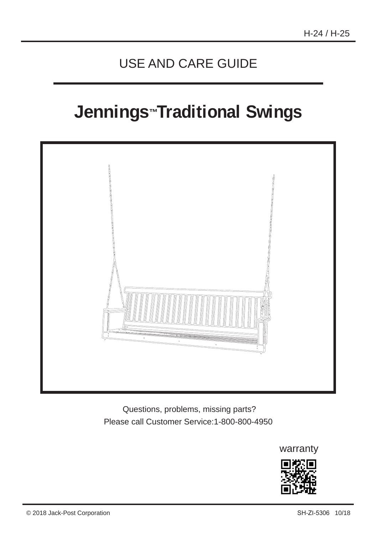# USE AND CARE GUIDE

# **Jennings ™Traditional Swings**



 Questions, problems, missing parts? Please call Customer Service:1-800-800-4950

warranty

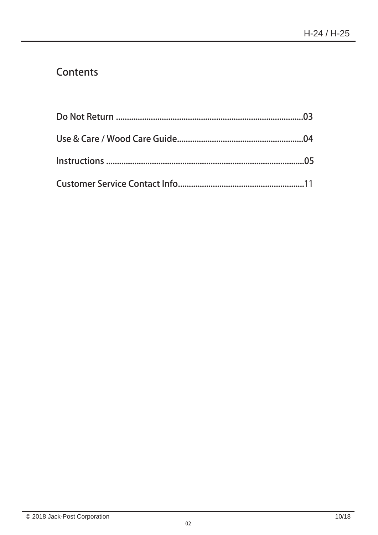# Contents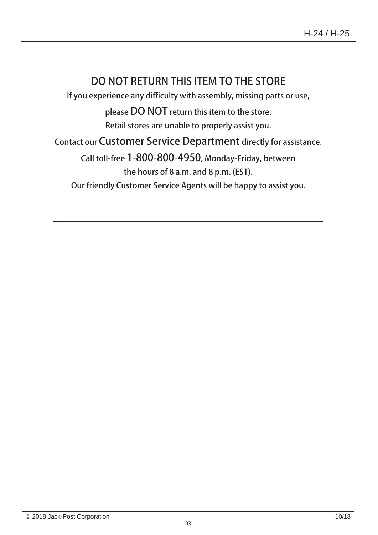# DO NOT RETURN THIS ITEM TO THE STORE

If you experience any difficulty with assembly, missing parts or use,

please DO NOT return this item to the store.

Retail stores are unable to properly assist you.

Contact our Customer Service Department directly for assistance.

Call toll-free 1-800-800-4950, Monday-Friday, between the hours of 8 a.m. and 8 p.m. (EST).

Our friendly Customer Service Agents will be happy to assist you.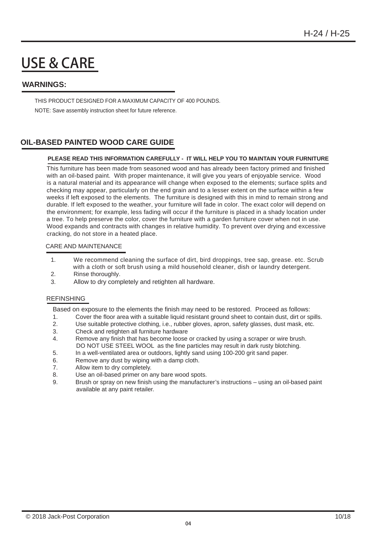# USE & CARE

#### **WARNINGS:**

THIS PRODUCT DESIGNED FOR A MAXIMUM CAPACITY OF 400 POUNDS. NOTE: Save assembly instruction sheet for future reference.

#### **OIL-BASED PAINTED WOOD CARE GUIDE**

#### **PLEASE READ THIS INFORMATION CAREFULLY - IT WILL HELP YOU TO MAINTAIN YOUR FURNITURE**

 with an oil-based paint. With proper maintenance, it will give you years of enjoyable service. Wood This furniture has been made from seasoned wood and has already been factory primed and finished is a natural material and its appearance will change when exposed to the elements; surface splits and checking may appear, particularly on the end grain and to a lesser extent on the surface within a few weeks if left exposed to the elements. The furniture is designed with this in mind to remain strong and durable. If left exposed to the weather, your furniture will fade in color. The exact color will depend on the environment; for example, less fading will occur if the furniture is placed in a shady location under a tree. To help preserve the color, cover the furniture with a garden furniture cover when not in use. Wood expands and contracts with changes in relative humidity. To prevent over drying and excessive cracking, do not store in a heated place.

#### CARE AND MAINTENANCE

- 1. We recommend cleaning the surface of dirt, bird droppings, tree sap, grease. etc. Scrub with a cloth or soft brush using a mild household cleaner, dish or laundry detergent.
- 2. Rinse thoroughly.
- 3. Allow to dry completely and retighten all hardware.

#### REFINSHING

Based on exposure to the elements the finish may need to be restored. Proceed as follows:

- 1. Cover the floor area with a suitable liquid resistant ground sheet to contain dust, dirt or spills.
- 2. Use suitable protective clothing, i.e., rubber gloves, apron, safety glasses, dust mask, etc.
- 3. Check and retighten all furniture hardware
- 4. Remove any finish that has become loose or cracked by using a scraper or wire brush. DO NOT USE STEEL WOOL as the fine particles may result in dark rusty blotching.
- 5. In a well-ventilated area or outdoors, lightly sand using 100-200 grit sand paper.
- 6. Remove any dust by wiping with a damp cloth.
- 7. Allow item to dry completely.
- 8. Use an oil-based primer on any bare wood spots.
- 9. Brush or spray on new finish using the manufacturer's instructions using an oil-based paint available at any paint retailer.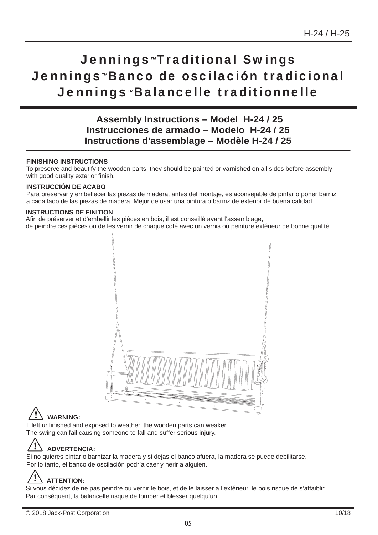# Jennings™Traditional Swings Jennings™Banco de oscilación tradicional Jennings™Balancelle traditionnelle

**Assembly Instructions – Model H-24 / 25 Instrucciones de armado – Modelo H-24 / 25 Instructions d'assemblage – Modèle H-24 / 25**

#### **FINISHING INSTRUCTIONS**

To preserve and beautify the wooden parts, they should be painted or varnished on all sides before assembly with good quality exterior finish.

#### **INSTRUCCIÓN DE ACABO**

Para preservar y embellecer las piezas de madera, antes del montaje, es aconsejable de pintar o poner barniz a cada lado de las piezas de madera. Mejor de usar una pintura o barniz de exterior de buena calidad.

#### **INSTRUCTIONS DE FINITION**

Afin de préserver et d'embellir les pièces en bois, il est conseillé avant l'assemblage, de peindre ces pièces ou de les vernir de chaque coté avec un vernis où peinture extérieur de bonne qualité.



# **WARNING:**

If left unfinished and exposed to weather, the wooden parts can weaken. The swing can fail causing someone to fall and suffer serious injury.

# **ADVERTENCIA:**

Si no quieres pintar o barnizar la madera y si dejas el banco afuera, la madera se puede debilitarse. Por lo tanto, el banco de oscilación podría caer y herir a alguien.

# **ATTENTION:**

Si vous décidez de ne pas peindre ou vernir le bois, et de le laisser a l'extérieur, le bois risque de s'affaiblir. Par conséquent, la balancelle risque de tomber et blesser quelqu'un.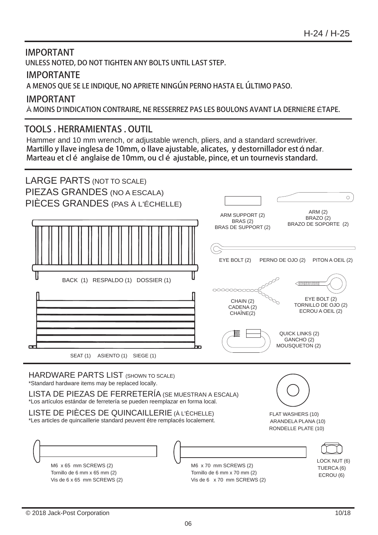### IMPORTANT UNLESS NOTED, DO NOT TIGHTEN ANY BOLTS UNTIL LAST STEP.

### IMPORTANTE

A MENOS QUE SE LE INDIQUE, NO APRIETE NINGúN PERNO HASTA EL úLTIMO PASO.

### IMPORTANT

À MOINS D'INDICATION CONTRAIRE, NE RESSERREZ PAS LES BOULONS AVANT LA DERNIÈRE ÉTAPE.

### TOOLS . HERRAMIENTAS . OUTIL

Hammer and 10 mm wrench, or adjustable wrench, pliers, and a standard screwdriver. Martillo y llave inglesa de 10mm, o llave ajustable, alicates, y destornillador est á ndar. Marteau et clé anglaise de 10mm, ou clé ajustable, pince, et un tournevis standard.

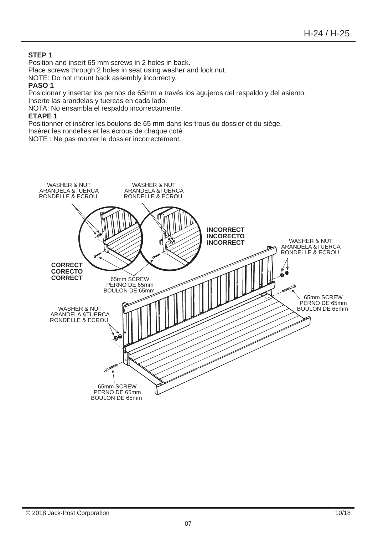#### **STEP 1**

Position and insert 65 mm screws in 2 holes in back.

Place screws through 2 holes in seat using washer and lock nut.

NOTE: Do not mount back assembly incorrectly.

#### **PASO 1**

Posicionar y insertar los pernos de 65mm a través los agujeros del respaldo y del asiento. Inserte las arandelas y tuercas en cada lado.

NOTA: No ensambla el respaldo incorrectamente.

#### **ETAPE 1**

Positionner et insérer les boulons de 65 mm dans les trous du dossier et du siège.

Insérer les rondelles et les écrous de chaque coté.

NOTE : Ne pas monter le dossier incorrectement.

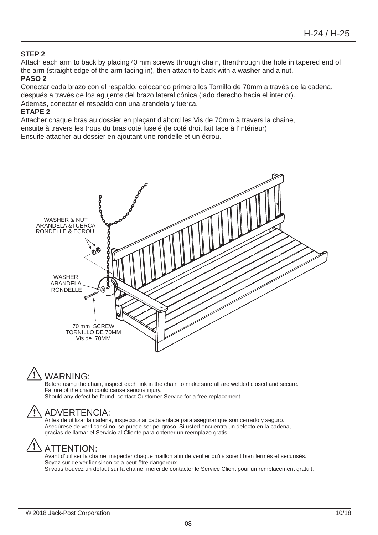#### **STEP 2**

Attach each arm to back by placing70 mm screws through chain, thenthrough the hole in tapered end of the arm (straight edge of the arm facing in), then attach to back with a washer and a nut.

#### **PASO 2**

Conectar cada brazo con el respaldo, colocando primero los Tornillo de 70mm a través de la cadena, después a través de los agujeros del brazo lateral cónica (lado derecho hacia el interior). Además, conectar el respaldo con una arandela y tuerca.

#### **ETAPE 2**

Attacher chaque bras au dossier en plaçant d'abord les Vis de 70mm à travers la chaine, ensuite à travers les trous du bras coté fuselé (le coté droit fait face à l'intérieur).

Ensuite attacher au dossier en ajoutant une rondelle et un écrou.

![](_page_7_Picture_8.jpeg)

# WARNING:

Before using the chain, inspect each link in the chain to make sure all are welded closed and secure. Failure of the chain could cause serious injury.

Should any defect be found, contact Customer Service for a free replacement.

### ADVERTENCIA:

Antes de utilizar la cadena, inspeccionar cada enlace para asegurar que son cerrado y seguro. Asegúrese de verificar si no, se puede ser peligroso. Si usted encuentra un defecto en la cadena, gracias de llamar el Servicio al Cliente para obtener un reemplazo gratis.

### ATTENTION:

Avant d'utiliser la chaine, inspecter chaque maillon afin de vérifier qu'ils soient bien fermés et sécurisés. Soyez sur de vérifier sinon cela peut être dangereux. Si vous trouvez un défaut sur la chaine, merci de contacter le Service Client pour un remplacement gratuit.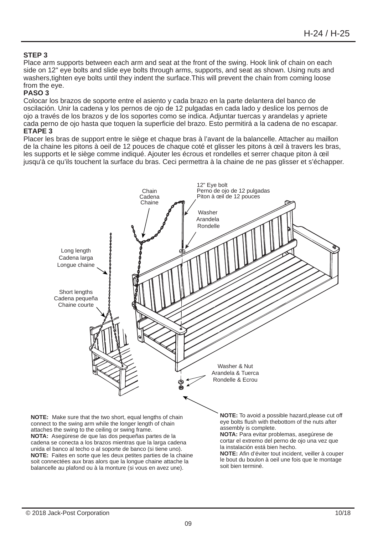#### **STEP 3**

Place arm supports between each arm and seat at the front of the swing. Hook link of chain on each side on 12" eye bolts and slide eye bolts through arms, supports, and seat as shown. Using nuts and washers,tighten eye bolts until they indent the surface.This will prevent the chain from coming loose from the eye.

#### **PASO 3**

Colocar los brazos de soporte entre el asiento y cada brazo en la parte delantera del banco de oscilación. Unir la cadena y los pernos de ojo de 12 pulgadas en cada lado y deslice los pernos de ojo a través de los brazos y de los soportes como se indica. Adjuntar tuercas y arandelas y apriete cada perno de ojo hasta que toquen la superficie del brazo. Esto permitirá a la cadena de no escapar.

#### **ETAPE 3**

Placer les bras de support entre le siège et chaque bras à l'avant de la balancelle. Attacher au maillon de la chaine les pitons à oeil de 12 pouces de chaque coté et glisser les pitons à œil à travers les bras, les supports et le siège comme indiqué. Ajouter les écrous et rondelles et serrer chaque piton à œil jusqu'à ce qu'ils touchent la surface du bras. Ceci permettra à la chaine de ne pas glisser et s'échapper.

![](_page_8_Figure_7.jpeg)

balancelle au plafond ou à la monture (si vous en avez une).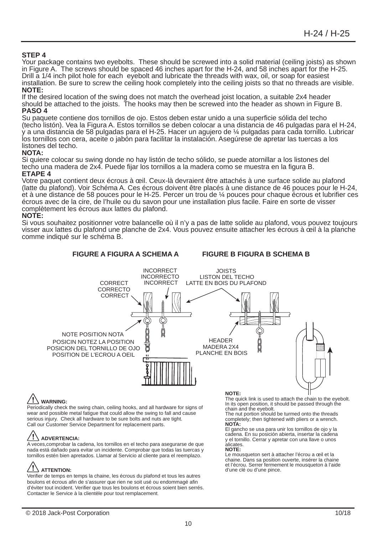**STEP 4**<br>Your package contains two eyebolts. These should be screwed into a solid material (ceiling joists) as shown in Figure A. The screws should be spaced 46 inches apart for the H-24, and 58 inches apart for the H-25. Drill a 1/4 inch pilot hole for each eyebolt and lubricate the threads with wax, oil, or soap for easiest installation. Be sure to screw the ceiling hook completely into the ceiling joists so that no threads are visible. **NOTE:** 

If the desired location of the swing does not match the overhead joist location, a suitable 2x4 header should be attached to the joists. The hooks may then be screwed into the header as shown in Figure B. **PASO 4**

Su paquete contiene dos tornillos de ojo. Estos deben estar unido a una superficie sólida del techo (techo listón). Vea la Figura A. Estos tornillos se deben colocar a una distancia de 46 pulgadas para el H-24, y a una distancia de 58 pulgadas para el H-25. Hacer un agujero de ¼ pulgadas para cada tornillo. Lubricar los tornillos con cera, aceite o jabón para facilitar la instalación. Asegúrese de apretar las tuercas a los listones del techo.

#### **NOTA:**

Si quiere colocar su swing donde no hay listón de techo sólido, se puede atornillar a los listones del techo una madera de 2x4. Puede fijar los tornillos a la madera como se muestra en la figura B. **ETAPE 4**

Votre paquet contient deux écrous à œil. Ceux-là devraient être attachés à une surface solide au plafond (latte du plafond). Voir Schéma A. Ces écrous doivent être placés à une distance de 46 pouces pour le H-24, et à une distance de 58 pouces pour le H-25. Percer un trou de ¼ pouces pour chaque écrous et lubrifier ces écrous avec de la cire, de l'huile ou du savon pour une installation plus facile. Faire en sorte de visser complètement les écrous aux lattes du plafond.

#### **NOTE:**

Si vous souhaitez positionner votre balancelle où il n'y a pas de latte solide au plafond, vous pouvez toujours visser aux lattes du plafond une planche de 2x4. Vous pouvez ensuite attacher les écrous à œil à la planche comme indiqué sur le schéma B.

![](_page_9_Figure_10.jpeg)

#### **WARNING:**

Periodically check the swing chain, ceiling hooks, and all hardware for signs of wear and possible metal fatigue that could allow the swing to fall and cause serious injury. Check all hardware to be sure bolts and nuts are tight. Call our Customer Service Department for replacement parts.

#### **ADVERTENCIA:**

A veces,comprobar la cadena, los tornillos en el techo para asegurarse de que nada está dañado para evitar un incidente. Comprobar que todas las tuercas y tornillos estén bien apretados. Llamar al Servicio al cliente para el reemplazo.

#### $\Delta$  attention:

Verifier de temps en temps la chaine, les écrous du plafond et tous les autres boulons et écrous afin de s'assurer que rien ne soit usé ou endommagé afin d'éviter tout incident. Verifier que tous les boulons et écrous soient bien serrés. Contacter le Service à la clientèle pour tout remplacement.

#### **NOTE:**

The quick link is used to attach the chain to the eyebolt. In its open position, it should be passed through the chain and the eyebolt.

The nut portion should be turmed onto the threads completely; then tightened with pliers or a wrench. **NOTA:**

El gancho se usa para unir los tornillos de ojo y la cadena. En su posición abierta, insertar la cadena y el tornillo. Cerrar y apretar con una llave o unos alicates.

#### **NOTE:**

Le mousqueton sert à attacher l'écrou a œil et la chaine. Dans sa position ouverte, insérer la chaine et l'écrou. Serrer fermement le mousqueton à l'aide d'une clé ou d'une pince.